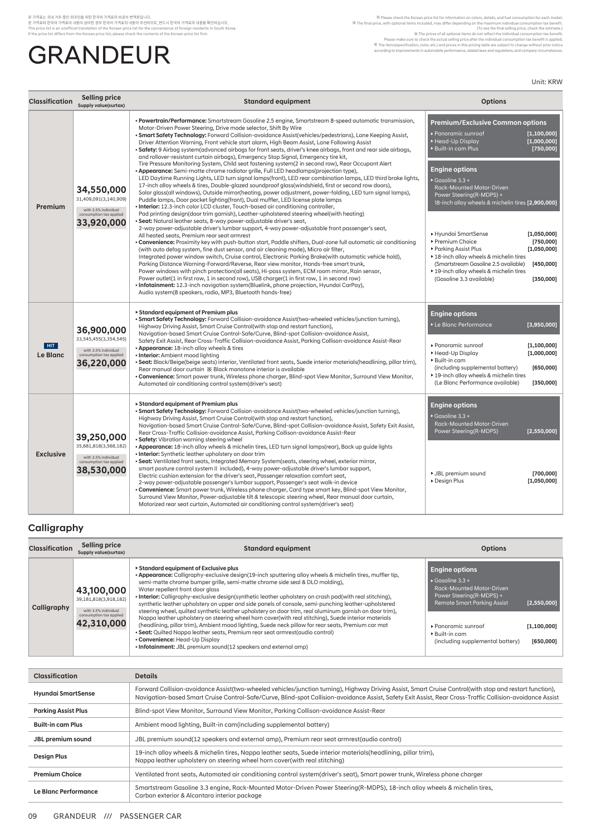## 본 가격표는 국내 가주 중인 외국인을 위한 한국어 가격표의 버공식 번역본입니다.<br>본 가격표와 한국어 가격표의 내용이 상이한 경우 한국어 가격표의 내용이 우선하므로, 번드시 한국어 가격표의 내용을 확인하십시오.<br>I his price list sin unofficial translation of the Korean price list for the convenience of foreign resi **GRANDEUR**

Rease check the Korean price list for information on colons, details, and fuel consumption for each model.<br>The final price, with optional items included, may differ depending on the maximum individual consumption tax benef

Unit: KRW

| <b>Classification</b>  | <b>Selling price</b><br>Supply value(surtax)                                                         | <b>Standard equipment</b>                                                                                                                                                                                                                                                                                                                                                                                                                                                                                                                                                                                                                                                                                                                                                                                                                                                                                                                                                                                                                                                                                                                                                                                                                                                                                                                                                                                                                                                                                                                                                                                                                                                                                                                                                                                                                                                                                                                                                                                                                                                                                                                                                                                                                                                                                                                                                                                    | <b>Options</b>                                                                                                                                                                                                                                                                                                                                                                                                                                                                                                                                                                                                                      |
|------------------------|------------------------------------------------------------------------------------------------------|--------------------------------------------------------------------------------------------------------------------------------------------------------------------------------------------------------------------------------------------------------------------------------------------------------------------------------------------------------------------------------------------------------------------------------------------------------------------------------------------------------------------------------------------------------------------------------------------------------------------------------------------------------------------------------------------------------------------------------------------------------------------------------------------------------------------------------------------------------------------------------------------------------------------------------------------------------------------------------------------------------------------------------------------------------------------------------------------------------------------------------------------------------------------------------------------------------------------------------------------------------------------------------------------------------------------------------------------------------------------------------------------------------------------------------------------------------------------------------------------------------------------------------------------------------------------------------------------------------------------------------------------------------------------------------------------------------------------------------------------------------------------------------------------------------------------------------------------------------------------------------------------------------------------------------------------------------------------------------------------------------------------------------------------------------------------------------------------------------------------------------------------------------------------------------------------------------------------------------------------------------------------------------------------------------------------------------------------------------------------------------------------------------------|-------------------------------------------------------------------------------------------------------------------------------------------------------------------------------------------------------------------------------------------------------------------------------------------------------------------------------------------------------------------------------------------------------------------------------------------------------------------------------------------------------------------------------------------------------------------------------------------------------------------------------------|
| Premium                | 34,550,000<br>31,409,091(3,140,909)<br>with 3.5% individual<br>consumption tax applied<br>33,920,000 | . Powertrain/Performance: Smartstream Gasoline 2.5 engine, Smartstream 8-speed automatic transmission,<br>Motor-Driven Power Steering, Drive mode selector, Shift By Wire<br>. Smart Safety Technology: Forward Collision-avoidance Assist(vehicles/pedestrians), Lane Keeping Assist,<br>Driver Attention Warning, Front vehicle start alarm, High Beam Assist, Lane Following Assist<br>. Safety: 9 Airbag system(advanced airbags for front seats, driver's knee airbags, front and rear side airbags,<br>and rollover-resistant curtain airbags), Emergency Stop Signal, Emergency tire kit,<br>Tire Pressure Monitoring System, Child seat fastening system(2 in second row), Rear Occupant Alert<br>. Appearance: Semi-matte chrome radiator grille, Full LED headlamps(projection type),<br>LED Daytime Running Lights, LED turn signal lamps(front), LED rear combination lamps, LED third brake lights,<br>17-inch alloy wheels & tires, Double-glazed soundproof glass (windshield, first or second row doors),<br>Solar glass(all windows), Outside mirror(heating, power adjustment, power-folding, LED turn signal lamps),<br>Puddle lamps, Door pocket lighting(front), Dual muffler, LED license plate lamps<br>. Interior: 12.3-inch color LCD cluster, Touch-based air conditioning controller,<br>Pad printing design(door trim garnish), Leather-upholstered steering wheel(with heating)<br>· Seat: Natural leather seats, 8-way power-adjustable driver's seat,<br>2-way power-adjustable driver's lumbar support, 4-way power-adjustable front passenger's seat,<br>All heated seats, Premium rear seat armrest<br>. Convenience: Proximity key with push-button start, Paddle shifters, Dual-zone full automatic air conditioning<br>(with auto defog system, fine dust sensor, and air cleaning mode), Micro air filter,<br>Integrated power window switch, Cruise control, Electronic Parking Brake(with automatic vehicle hold),<br>Parking Distance Warning-Forward/Reverse, Rear view monitor, Hands-free smart trunk,<br>Power windows with pinch protection(all seats), Hi-pass system, ECM room mirror, Rain sensor,<br>Power outlet(1 in first row, 1 in second row), USB charger(1 in first row, 1 in second row)<br>• Infotainment: 12.3-inch navigation system(Bluelink, phone projection, Hyundai CarPay),<br>Audio system(8 speakers, radio, MP3, Bluetooth hands-free) | <b>Premium/Exclusive Common options</b><br>▶ Panoramic sunroof<br>[1,100,000]<br>▶ Head-Up Display<br>[1,000,000]<br>[750,000]<br>▶ Built-in cam Plus<br><b>Engine options</b><br>$\triangleright$ Gasoline 3.3 +<br>Rack-Mounted Motor-Driven<br>Power Steering(R-MDPS) +<br>18-inch alloy wheels & michelin tires [2,900,000]<br>▶ Hyundai SmartSense<br>[1,050,000]<br>▶ Premium Choice<br>[750,000]<br>▶ Parking Assist Plus<br>[1,050,000]<br>▶ 18-inch alloy wheels & michelin tires<br>(Smartstream Gasoline 2.5 available)<br>[450,000]<br>▶ 19-inch alloy wheels & michelin tires<br>(Gasoline 3.3 available)<br>[350,000] |
| HIT<br><b>Le Blanc</b> | 36,900,000<br>33,545,455(3,354,545)<br>with 3.5% individual<br>consumption tax applied<br>36,220,000 | Standard equipment of Premium plus<br>. Smart Safety Technology: Forward Collision-avoidance Assist (two-wheeled vehicles/junction turning),<br>Highway Driving Assist, Smart Cruise Control(with stop and restart function),<br>Navigation-based Smart Cruise Control-Safe/Curve, Blind-spot Collision-avoidance Assist,<br>Safety Exit Assist, Rear Cross-Traffic Collision-avoidance Assist, Parking Collison-avoidance Assist-Rear<br>• Appearance: 18-inch alloy wheels & tires<br>• Interior: Ambient mood lighting<br>· Seat: Black/Beige(beige seats) interior, Ventilated front seats, Suede interior materials(headlining, pillar trim),<br>Rear manual door curtain $\frac{1}{2}$ Black monotone interior is available<br>. Convenience: Smart power trunk, Wireless phone charger, Blind-spot View Monitor, Surround View Monitor,<br>Automated air conditioning control system(driver's seat)                                                                                                                                                                                                                                                                                                                                                                                                                                                                                                                                                                                                                                                                                                                                                                                                                                                                                                                                                                                                                                                                                                                                                                                                                                                                                                                                                                                                                                                                                                   | <b>Engine options</b><br>Le Blanc Performance<br>[3,950,000]<br>▶ Panoramic sunroof<br>[1,100,000]<br>▶ Head-Up Display<br>[1,000,000]<br>▶ Built-in cam<br>(including supplemental battery)<br>[650,000]<br>▶ 19-inch alloy wheels & michelin tires<br>(Le Blanc Performance available)<br>[350,000]                                                                                                                                                                                                                                                                                                                               |
| <b>Exclusive</b>       | 39,250,000<br>35,681,818(3,568,182)<br>with 3.5% individual<br>consumption tax applied<br>38,530,000 | ► Standard equipment of Premium plus<br>• Smart Safety Technology: Forward Collision-avoidance Assist (two-wheeled vehicles/junction turning),<br>Highway Driving Assist, Smart Cruise Control(with stop and restart function),<br>Navigation-based Smart Cruise Control-Safe/Curve, Blind-spot Collision-avoidance Assist, Safety Exit Assist,<br>Rear Cross-Traffic Collision-avoidance Assist, Parking Collison-avoidance Assist-Rear<br>• Safety: Vibration warning steering wheel<br>. Appearance: 18-inch alloy wheels & michelin tires, LED turn signal lamps(rear), Back up quide lights<br>• Interior: Synthetic leather upholstery on door trim<br>. Seat: Ventilated front seats, Integrated Memory System(seats, steering wheel, exterior mirror,<br>smart posture control system    included), 4-way power-adjustable driver's lumbar support,<br>Electric cushion extension for the driver's seat, Passenger relaxation comfort seat,<br>2-way power-adjustable passenger's lumbar support, Passenger's seat walk-in device<br>. Convenience: Smart power trunk, Wireless phone charger, Card type smart key, Blind-spot View Monitor,<br>Surround View Monitor, Power-adjustable tilt & telescopic steering wheel, Rear manual door curtain,<br>Motorized rear seat curtain, Automated air conditioning control system(driver's seat)                                                                                                                                                                                                                                                                                                                                                                                                                                                                                                                                                                                                                                                                                                                                                                                                                                                                                                                                                                                                                                                         | <b>Engine options</b><br>$\triangleright$ Gasoline 3.3 +<br><b>Rack-Mounted Motor-Driven</b><br>Power Steering(R-MDPS)<br>[2,550,000]<br>▶ JBL premium sound<br>[700,000]<br>Design Plus<br>[1,050,000]                                                                                                                                                                                                                                                                                                                                                                                                                             |

## **Calligraphy**

| <b>Classification</b> | Selling price<br>Supply value(surtax)                                                                | <b>Standard equipment</b>                                                                                                                                                                                                                                                                                                                                                                                                                                                                                                                                                                                                                                                                                                                                                                                                                                                                                                                                                                                  | <b>Options</b>                                                                                                                                                                                                                              |                                           |
|-----------------------|------------------------------------------------------------------------------------------------------|------------------------------------------------------------------------------------------------------------------------------------------------------------------------------------------------------------------------------------------------------------------------------------------------------------------------------------------------------------------------------------------------------------------------------------------------------------------------------------------------------------------------------------------------------------------------------------------------------------------------------------------------------------------------------------------------------------------------------------------------------------------------------------------------------------------------------------------------------------------------------------------------------------------------------------------------------------------------------------------------------------|---------------------------------------------------------------------------------------------------------------------------------------------------------------------------------------------------------------------------------------------|-------------------------------------------|
| Calligraphy           | 43,100,000<br>39,181,818(3,918,182)<br>with 3.5% individual<br>consumption tax applied<br>42,310,000 | ▶ Standard equipment of Exclusive plus<br>. Appearance: Calligraphy-exclusive design(19-inch sputtering alloy wheels & michelin tires, muffler tip,<br>semi-matte chrome bumper grille, semi-matte chrome side seal & DLO molding),<br>Water repellent front door glass<br>• Interior: Calligraphy-exclusive design(synthetic leather upholstery on crash pad(with real stitching),<br>synthetic leather upholstery on upper and side panels of console, semi-punching leather-upholstered<br>steering wheel, quilted synthetic leather upholstery on door trim, real aluminum garnish on door trim),<br>Nappa leather upholstery on steering wheel horn cover(with real stitching), Suede interior materials<br>(headlining, pillar trim), Ambient mood lighting, Suede neck pillow for rear seats, Premium car mat<br>• Seat: Quilted Nappa leather seats, Premium rear seat armrest(audio control)<br>• Convenience: Head-Up Display<br>• Infotainment: JBL premium sound(12 speakers and external amp) | <b>Engine options</b><br>$\triangleright$ Gasoline 3.3 +<br><b>Rack-Mounted Motor-Driven</b><br>Power Steering(R-MDPS) +<br><b>Remote Smart Parking Assist</b><br>▶ Panoramic sunroof<br>▶ Built-in cam<br>(including supplemental battery) | [2,550,000]<br>[1, 100, 000]<br>[650,000] |

| <b>Classification</b>                                                                                                | <b>Details</b>                                                                                                                                                                                                                                                                                                         |
|----------------------------------------------------------------------------------------------------------------------|------------------------------------------------------------------------------------------------------------------------------------------------------------------------------------------------------------------------------------------------------------------------------------------------------------------------|
| <b>Hyundai SmartSense</b>                                                                                            | Forward Collision-avoidance Assist(two-wheeled vehicles/junction turning), Highway Driving Assist, Smart Cruise Control(with stop and restart function),<br>Navigation-based Smart Cruise Control-Safe/Curve, Blind-spot Collision-avoidance Assist, Safety Exit Assist, Rear Cross-Traffic Collision-avoidance Assist |
| Blind-spot View Monitor, Surround View Monitor, Parking Collison-avoidance Assist-Rear<br><b>Parking Assist Plus</b> |                                                                                                                                                                                                                                                                                                                        |
| <b>Built-in cam Plus</b>                                                                                             | Ambient mood lighting, Built-in cam(including supplemental battery)                                                                                                                                                                                                                                                    |
| JBL premium sound                                                                                                    | JBL premium sound(12 speakers and external amp), Premium rear seat armrest(audio control)                                                                                                                                                                                                                              |
| <b>Design Plus</b>                                                                                                   | 19-inch alloy wheels & michelin tires, Nappa leather seats, Suede interior materials (headlining, pillar trim),<br>Nappa leather upholstery on steering wheel horn cover(with real stitching)                                                                                                                          |
| <b>Premium Choice</b>                                                                                                | Ventilated front seats, Automated air conditioning control system(driver's seat), Smart power trunk, Wireless phone charger                                                                                                                                                                                            |
| Le Blanc Performance                                                                                                 | Smartstream Gasoline 3.3 engine, Rack-Mounted Motor-Driven Power Steering(R-MDPS), 18-inch alloy wheels & michelin tires,<br>Carbon exterior & Alcantara interior package                                                                                                                                              |